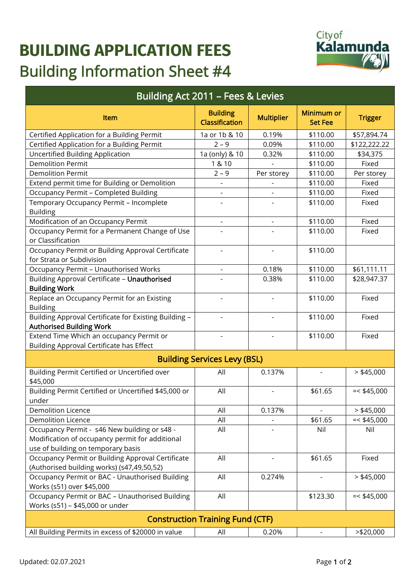## **BUILDING APPLICATION FEES** Building Information Sheet #4



| <b>Building Act 2011 - Fees &amp; Levies</b>                                                                                          |                                          |                          |                              |                |
|---------------------------------------------------------------------------------------------------------------------------------------|------------------------------------------|--------------------------|------------------------------|----------------|
| <b>Item</b>                                                                                                                           | <b>Building</b><br><b>Classification</b> | <b>Multiplier</b>        | Minimum or<br><b>Set Fee</b> | <b>Trigger</b> |
| Certified Application for a Building Permit                                                                                           | 1a or 1b & 10                            | 0.19%                    | \$110.00                     | \$57,894.74    |
| Certified Application for a Building Permit                                                                                           | $2 - 9$                                  | 0.09%                    | \$110.00                     | \$122,222.22   |
| <b>Uncertified Building Application</b>                                                                                               | 1a (only) & 10                           | 0.32%                    | \$110.00                     | \$34,375       |
| <b>Demolition Permit</b>                                                                                                              | 1 & 10                                   |                          | \$110.00                     | Fixed          |
| <b>Demolition Permit</b>                                                                                                              | $2 - 9$                                  | Per storey               | \$110.00                     | Per storey     |
| Extend permit time for Building or Demolition                                                                                         |                                          |                          | \$110.00                     | Fixed          |
| <b>Occupancy Permit - Completed Building</b>                                                                                          |                                          |                          | \$110.00                     | Fixed          |
| Temporary Occupancy Permit - Incomplete<br><b>Building</b>                                                                            |                                          |                          | \$110.00                     | Fixed          |
| Modification of an Occupancy Permit                                                                                                   | $\overline{\phantom{a}}$                 | $\overline{\phantom{0}}$ | \$110.00                     | Fixed          |
| Occupancy Permit for a Permanent Change of Use<br>or Classification                                                                   |                                          |                          | \$110.00                     | Fixed          |
| Occupancy Permit or Building Approval Certificate<br>for Strata or Subdivision                                                        |                                          |                          | \$110.00                     |                |
| <b>Occupancy Permit - Unauthorised Works</b>                                                                                          |                                          | 0.18%                    | \$110.00                     | \$61,111.11    |
| Building Approval Certificate - Unauthorised<br><b>Building Work</b>                                                                  |                                          | 0.38%                    | \$110.00                     | \$28,947.37    |
| Replace an Occupancy Permit for an Existing<br><b>Building</b>                                                                        |                                          |                          | \$110.00                     | Fixed          |
| Building Approval Certificate for Existing Building -<br><b>Authorised Building Work</b>                                              |                                          |                          | \$110.00                     | Fixed          |
| Extend Time Which an occupancy Permit or<br>Building Approval Certificate has Effect                                                  |                                          |                          | \$110.00                     | Fixed          |
| <b>Building Services Levy (BSL)</b>                                                                                                   |                                          |                          |                              |                |
| Building Permit Certified or Uncertified over<br>\$45,000                                                                             | All                                      | 0.137%                   |                              | $>$ \$45,000   |
| Building Permit Certified or Uncertified \$45,000 or<br>under                                                                         | All                                      | $\overline{\phantom{a}}$ | \$61.65                      | $=<$ \$45,000  |
| <b>Demolition Licence</b>                                                                                                             | All                                      | 0.137%                   |                              | $>$ \$45,000   |
| <b>Demolition Licence</b>                                                                                                             | All                                      |                          | \$61.65                      | $=<$ \$45,000  |
| Occupancy Permit - s46 New building or s48 -<br>Modification of occupancy permit for additional<br>use of building on temporary basis | All                                      |                          | Nil                          | Nil            |
| Occupancy Permit or Building Approval Certificate<br>(Authorised building works) (s47,49,50,52)                                       | All                                      |                          | \$61.65                      | Fixed          |
| Occupancy Permit or BAC - Unauthorised Building<br>Works (s51) over \$45,000                                                          | All                                      | 0.274%                   |                              | $>$ \$45,000   |
| Occupancy Permit or BAC - Unauthorised Building<br>Works (s51) - \$45,000 or under                                                    | All                                      |                          | \$123.30                     | $=<$ \$45,000  |
| <b>Construction Training Fund (CTF)</b>                                                                                               |                                          |                          |                              |                |
| All Building Permits in excess of \$20000 in value                                                                                    | All                                      | 0.20%                    |                              | $>$ \$20,000   |